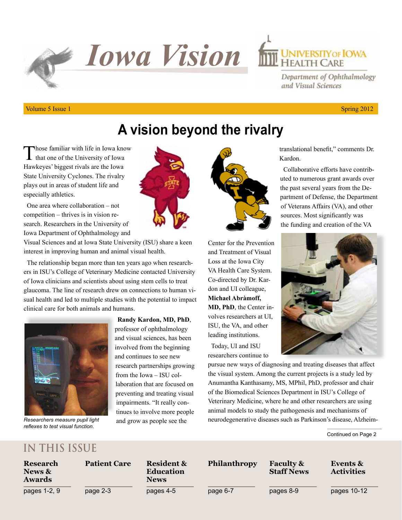**F** Iowa Vision **INVERSITY OF IOWA** 

### Department of Ophthalmology and Visual Sciences

#### Volume 5 Issue 1 Spring  $2012$

## **A vision beyond the rivalry**

Those familiar with life in Iowa know  $\blacksquare$  that one of the University of Iowa Hawkeyes' biggest rivals are the Iowa State University Cyclones. The rivalry plays out in areas of student life and especially athletics.

One area where collaboration – not competition – thrives is in vision research. Researchers in the University of Iowa Department of Ophthalmology and

Visual Sciences and at Iowa State University (ISU) share a keen interest in improving human and animal visual health.

The relationship began more than ten years ago when researchers in ISU's College of Veterinary Medicine contacted University of Iowa clinicians and scientists about using stem cells to treat glaucoma. The line of research drew on connections to human visual health and led to multiple studies with the potential to impact clinical care for both animals and humans.



*Researchers measure pupil light reflexes to test visual function.*



**Randy Kardon, MD, PhD**, professor of ophthalmology and visual sciences, has been involved from the beginning and continues to see new research partnerships growing from the Iowa – ISU collaboration that are focused on preventing and treating visual impairments. "It really continues to involve more people and grow as people see the



Center for the Prevention and Treatment of Visual Loss at the Iowa City VA Health Care System. Co-directed by Dr. Kardon and UI colleague, **Michael Abràmoff, MD, PhD**, the Center involves researchers at UI, ISU, the VA, and other leading institutions.

Today, UI and ISU researchers continue to Kardon. Collaborative efforts have contrib-

translational benefit," comments Dr.

uted to numerous grant awards over the past several years from the Department of Defense, the Department of Veterans Affairs (VA), and other sources. Most significantly was the funding and creation of the VA



pursue new ways of diagnosing and treating diseases that affect the visual system. Among the current projects is a study led by Anumantha Kanthasamy, MS, MPhil, PhD, professor and chair of the Biomedical Sciences Department in ISU's College of Veterinary Medicine, where he and other researchers are using animal models to study the pathogenesis and mechanisms of neurodegenerative diseases such as Parkinson's disease, Alzheim-

Continued on Page 2

### **IN THIS ISSUE**

| Research<br>News &<br><b>Awards</b> | <b>Patient Care</b> | <b>Resident &amp;</b><br><b>Education</b><br><b>News</b> | <b>Philanthropy</b> | <b>Faculty &amp;</b><br><b>Staff News</b> | Events &<br><b>Activities</b> |
|-------------------------------------|---------------------|----------------------------------------------------------|---------------------|-------------------------------------------|-------------------------------|
| pages 1-2, 9                        | page 2-3            | pages 4-5                                                | page 6-7            | pages 8-9                                 | pages 10-12                   |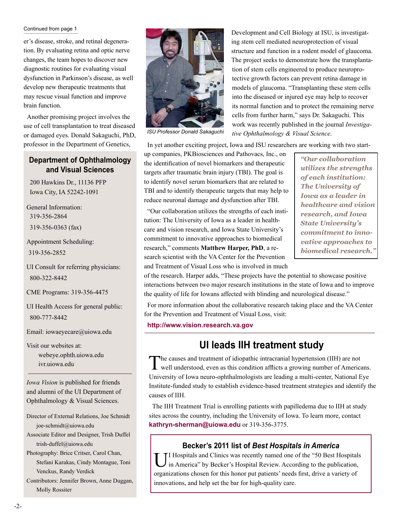#### Continued from page 1

er's disease, stroke, and retinal degeneration. By evaluating retina and optic nerve changes, the team hopes to discover new diagnostic routines for evaluating visual dysfunction in Parkinson's disease, as well develop new therapeutic treatments that may rescue visual function and improve brain function.

Another promising project involves the use of cell transplantation to treat diseased or damaged eyes. Donald Sakaguchi, PhD, professor in the Department of Genetics,

#### **Department of Ophthalmology and Visual Sciences**

200 Hawkins Dr., 11136 PFP Iowa City, IA 52242-1091

General Information: 319-356-2864 319-356-0363 (fax)

Appointment Scheduling: 319-356-2852

UI Consult for referring physicians: 800-322-8442

CME Programs: 319-356-4475

UI Health Access for general public: 800-777-8442

Email: iowaeyecare@uiowa.edu

Visit our websites at: webeye.ophth.uiowa.edu ivr.uiowa.edu

*Iowa Vision* is published for friends and alumni of the UI Department of Ophthalmology & Visual Sciences.

Director of External Relations, Joe Schmidt joe-schmidt@uiowa.edu

Associate Editor and Designer, Trish Duffel trish-duffel@uiowa.edu

Photography: Brice Critser, Carol Chan, Stefani Karakas, Cindy Montague, Toni Venckus, Randy Verdick

Contributors: Jennifer Brown, Anne Duggan, Molly Rossiter



*ISU Professor Donald Sakaguchi*

ing stem cell mediated neuroprotection of visual structure and function in a rodent model of glaucoma. The project seeks to demonstrate how the transplantation of stem cells engineered to produce neuroprotective growth factors can prevent retina damage in models of glaucoma. "Transplanting these stem cells into the diseased or injured eye may help to recover its normal function and to protect the remaining nerve cells from further harm," says Dr. Sakaguchi. This work was recently published in the journal *Investigative Ophthalmology & Visual Science*.

Development and Cell Biology at ISU, is investigat-

In yet another exciting project, Iowa and ISU researchers are working with two start-

up companies, PKBiosciences and Pathovacs, Inc., on the identification of novel biomarkers and therapeutic targets after traumatic brain injury (TBI). The goal is to identify novel serum biomarkers that are related to TBI and to identify therapeutic targets that may help to reduce neuronal damage and dysfunction after TBI.

"Our collaboration utilizes the strengths of each institution: The University of Iowa as a leader in healthcare and vision research, and Iowa State University's commitment to innovative approaches to biomedical research," comments **Matthew Harper, PhD**, a research scientist with the VA Center for the Prevention and Treatment of Visual Loss who is involved in much

*"Our collaboration utilizes the strengths of each institution: The University of Iowa as a leader in healthcare and vision research, and Iowa State University's commitment to innovative approaches to biomedical research."*

of the research. Harper adds, "These projects have the potential to showcase positive interactions between two major research institutions in the state of Iowa and to improve the quality of life for Iowans affected with blinding and neurological disease."

For more information about the collaborative research taking place and the VA Center for the Prevention and Treatment of Visual Loss, visit:

**http://www.vision.research.va.gov**

### **UI leads IIH treatment study**

The causes and treatment of idiopathic intracranial hypertension (IIH) are not well understood, even as this condition afflicts a growing number of Americans. University of Iowa neuro-ophthalmologists are leading a multi-center, National Eye Institute-funded study to establish evidence-based treatment strategies and identify the causes of IIH.

The IIH Treatment Trial is enrolling patients with papilledema due to IIH at study sites across the country, including the University of Iowa. To learn more, contact **kathryn-sherman@uiowa.edu** or 319-356-3775.

#### **Becker's 2011 list of** *Best Hospitals in America*

UI Hospitals and Clinics was recently named one of the "50 Best Hospitals in America" by Becker's Hospital Review. According to the publication, organizations chosen for this honor put patients' needs first, drive a variety of innovations, and help set the bar for high-quality care.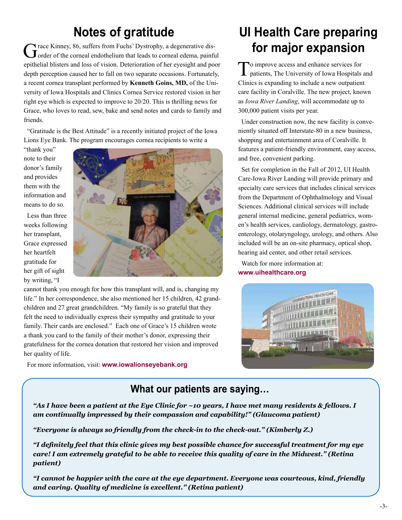## **Notes of gratitude**

Grace Kinney, 86, suffers from Fuchs' Dystrophy, a degenerative dis-<br>
Grader of the corneal endothelium that leads to corneal edema, painful epithelial blisters and loss of vision. Deterioration of her eyesight and poor depth perception caused her to fall on two separate occasions. Fortunately, a recent cornea transplant performed by **Kenneth Goins, MD,** of the University of Iowa Hospitals and Clinics Cornea Service restored vision in her right eye which is expected to improve to 20/20. This is thrilling news for Grace, who loves to read, sew, bake and send notes and cards to family and friends.

"Gratitude is the Best Attitude" is a recently initiated project of the Iowa Lions Eye Bank. The program encourages cornea recipients to write a

"thank you" note to their donor's family and provides them with the information and means to do so.

Less than three weeks following her transplant, Grace expressed her heartfelt gratitude for her gift of sight by writing, "I



cannot thank you enough for how this transplant will, and is, changing my life." In her correspondence, she also mentioned her 15 children, 42 grandchildren and 27 great grandchildren. "My family is so grateful that they felt the need to individually express their sympathy and gratitude to your family. Their cards are enclosed." Each one of Grace's 15 children wrote a thank you card to the family of their mother's donor, expressing their gratefulness for the cornea donation that restored her vision and improved her quality of life.

For more information, visit: **www.iowalionseyebank.org** 

## **UI Health Care preparing for major expansion**

To improve access and enhance services for patients, The University of Iowa Hospitals and Clinics is expanding to include a new outpatient care facility in Coralville. The new project, known as *Iowa River Landing*, will accommodate up to 300,000 patient visits per year.

Under construction now, the new facility is conveniently situated off Interstate-80 in a new business, shopping and entertainment area of Coralville. It features a patient-friendly environment, easy access, and free, convenient parking.

Set for completion in the Fall of 2012, UI Health Care-Iowa River Landing will provide primary and specialty care services that includes clinical services from the Department of Ophthalmology and Visual Sciences. Additional clinical services will include general internal medicine, general pediatrics, women's health services, cardiology, dermatology, gastroenterology, otolaryngology, urology, and others. Also included will be an on-site pharmacy, optical shop, hearing aid center, and other retail services.

Watch for more information at: **www.uihealthcare.org**



### **What our patients are saying…**

*"As I have been a patient at the Eye Clinic for ~10 years, I have met many residents & fellows. I am continually impressed by their compassion and capability!" (Glaucoma patient)*

*"Everyone is always so friendly from the check-in to the check-out." (Kimberly Z.)*

*"I definitely feel that this clinic gives my best possible chance for successful treatment for my eye care! I am extremely grateful to be able to receive this quality of care in the Midwest." (Retina patient)*

*"I cannot be happier with the care at the eye department. Everyone was courteous, kind, friendly and caring. Quality of medicine is excellent." (Retina patient)*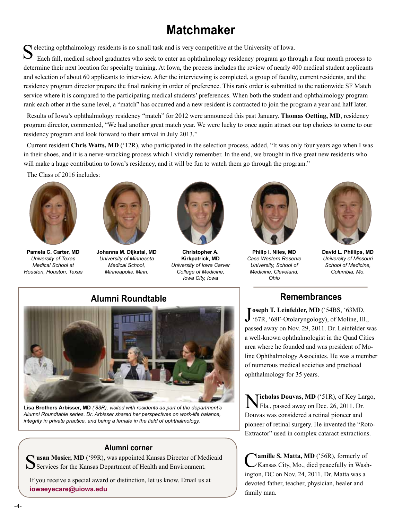## **Matchmaker**

Selecting ophthalmology residents is no small task and is very competitive at the University of Iowa.<br>
Each fall, medical school graduates who seek to enter an ophthalmology residency program go through a four month proces determine their next location for specialty training. At Iowa, the process includes the review of nearly 400 medical student applicants and selection of about 60 applicants to interview. After the interviewing is completed, a group of faculty, current residents, and the residency program director prepare the final ranking in order of preference. This rank order is submitted to the nationwide SF Match service where it is compared to the participating medical students' preferences. When both the student and ophthalmology program rank each other at the same level, a "match" has occurred and a new resident is contracted to join the program a year and half later.

Results of Iowa's ophthalmology residency "match" for 2012 were announced this past January. **Thomas Oetting, MD**, residency program director, commented, "We had another great match year. We were lucky to once again attract our top choices to come to our residency program and look forward to their arrival in July 2013."

Current resident **Chris Watts, MD** ('12R), who participated in the selection process, added, "It was only four years ago when I was in their shoes, and it is a nerve-wracking process which I vividly remember. In the end, we brought in five great new residents who will make a huge contribution to Iowa's residency, and it will be fun to watch them go through the program."

The Class of 2016 includes:



**Pamela C. Carter, MD** *University of Texas Medical School at Houston, Houston, Texas*



**Johanna M. Dijkstal, MD** *University of Minnesota Medical School, Minneapolis, Minn.*



**Christopher A. Kirkpatrick, MD** *University of Iowa Carver College of Medicine, Iowa City, Iowa*



**Philip I. Niles, MD** *Case Western Reserve University, School of Medicine, Cleveland, Ohio*



**David L. Phillips, MD** *University of Missouri School of Medicine, Columbia, Mo.*



**Lisa Brothers Arbisser, MD** *('83R), visited with residents as part of the department's Alumni Roundtable series. Dr. Arbisser shared her perspectives on work-life balance, integrity in private practice, and being a female in the field of ophthalmology.*

#### **Alumni corner**

 $\cap$  **usan Mosier, MD** ('99R), was appointed Kansas Director of Medicaid Services for the Kansas Department of Health and Environment.

If you receive a special award or distinction, let us know. Email us at **iowaeyecare@uiowa.edu**

### **Remembrances**

Joseph T. Leinfelder, MD ('54BS, '63MD, '67R, '68F-Otolaryngology), of Moline, Ill. '67R, '68F-Otolaryngology), of Moline, Ill., passed away on Nov. 29, 2011. Dr. Leinfelder was a well-known ophthalmologist in the Quad Cities area where he founded and was president of Moline Ophthalmology Associates. He was a member of numerous medical societies and practiced ophthalmology for 35 years.

N**icholas Douvas, MD** ('51R), of Key Largo, Fla., passed away on Dec. 26, 2011. Dr. Douvas was considered a retinal pioneer and pioneer of retinal surgery. He invented the "Roto-Extractor" used in complex cataract extractions.

Camille S. Matta, MD ('56R), formerly of<br>
Kansas City, Mo., died peacefully in Washington, DC on Nov. 24, 2011. Dr. Matta was a devoted father, teacher, physician, healer and family man.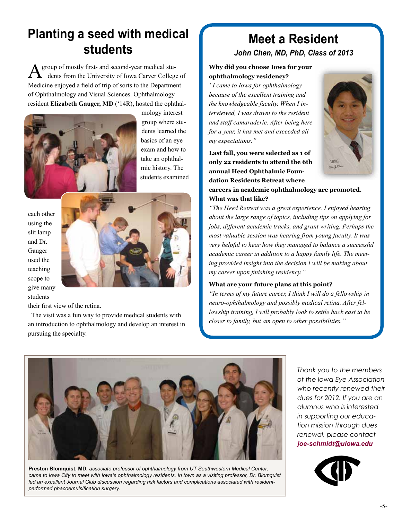## **Planting a seed with medical students**

group of mostly first- and second-year medical students from the University of Iowa Carver College of Medicine enjoyed a field of trip of sorts to the Department of Ophthalmology and Visual Sciences. Ophthalmology resident **Elizabeth Gauger, MD** ('14R), hosted the ophthal- $A^{\prime}$ 



mology interest group where students learned the basics of an eye exam and how to take an ophthalmic history. The students examined

each other using the slit lamp and Dr. Gauger used the teaching scope to give many students



their first view of the retina.

The visit was a fun way to provide medical students with an introduction to ophthalmology and develop an interest in pursuing the specialty.

### **Meet a Resident** *John Chen, MD, PhD, Class of 2013*

#### **Why did you choose Iowa for your ophthalmology residency?**

*"I came to Iowa for ophthalmology because of the excellent training and the knowledgeable faculty. When I interviewed, I was drawn to the resident and staff camaraderie. After being here for a year, it has met and exceeded all my expectations."*



**Last fall, you were selected as 1 of only 22 residents to attend the 6th annual Heed Ophthalmic Foundation Residents Retreat where careers in academic ophthalmology are promoted.** 

#### **What was that like?**

*"The Heed Retreat was a great experience. I enjoyed hearing about the large range of topics, including tips on applying for jobs, different academic tracks, and grant writing. Perhaps the most valuable session was hearing from young faculty. It was very helpful to hear how they managed to balance a successful academic career in addition to a happy family life. The meeting provided insight into the decision I will be making about my career upon finishing residency."*

#### **What are your future plans at this point?**

*"In terms of my future career, I think I will do a fellowship in neuro-ophthalmology and possibly medical retina. After fellowship training, I will probably look to settle back east to be closer to family, but am open to other possibilities."*



**Preston Blomquist, MD***, associate professor of ophthalmology from UT Southwestern Medical Center, came to Iowa City to meet with Iowa's ophthalmology residents. In town as a visiting professor, Dr. Blomquist led an excellent Journal Club discussion regarding risk factors and complications associated with residentperformed phacoemulsification surgery.*

*Thank you to the members of the Iowa Eye Association who recently renewed their dues for 2012. If you are an alumnus who is interested in supporting our education mission through dues renewal, please contact joe-schmidt@uiowa.edu*

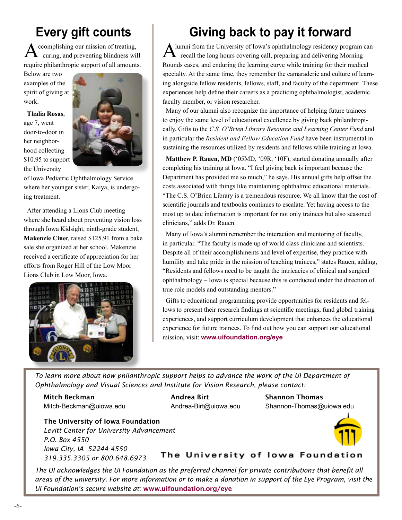# **Every gift counts**

 $\displaystyle {\bf A}$  ccomplishing our mission of treating,  $\displaystyle {\bf A}^{\rm t}$  and preventing blindness will  $\displaystyle {\bf A}^{\rm t}$ curing, and preventing blindness will require philanthropic support of all amounts.

Below are two examples of the spirit of giving at work.

**Thalia Rosas**, age 7, went door-to-door in her neighborhood collecting \$10.95 to support the University



of Iowa Pediatric Ophthalmology Service where her younger sister, Kaiya, is undergoing treatment.

After attending a Lions Club meeting where she heard about preventing vision loss through Iowa Kidsight, ninth-grade student, **Makenzie Cine**r, raised \$125.91 from a bake sale she organized at her school. Makenzie received a certificate of appreciation for her efforts from Roger Hill of the Low Moor Lions Club in Low Moor, Iowa.



# **Giving back to pay it forward**

lumni from the University of Iowa's ophthalmology residency program can recall the long hours covering call, preparing and delivering Morning Rounds cases, and enduring the learning curve while training for their medical specialty. At the same time, they remember the camaraderie and culture of learning alongside fellow residents, fellows, staff, and faculty of the department. These experiences help define their careers as a practicing ophthalmologist, academic faculty member, or vision researcher.

Many of our alumni also recognize the importance of helping future trainees to enjoy the same level of educational excellence by giving back philanthropically. Gifts to the *C.S. O'Brien Library Resource and Learning Center Fund* and in particular the *Resident and Fellow Education Fund* have been instrumental in sustaining the resources utilized by residents and fellows while training at Iowa.

**Matthew P. Rauen, MD** ('05MD, '09R, '10F), started donating annually after completing his training at Iowa. "I feel giving back is important because the Department has provided me so much," he says. His annual gifts help offset the costs associated with things like maintaining ophthalmic educational materials. "The C.S. O'Brien Library is a tremendous resource. We all know that the cost of scientific journals and textbooks continues to escalate. Yet having access to the most up to date information is important for not only trainees but also seasoned clinicians," adds Dr. Rauen.

Many of Iowa's alumni remember the interaction and mentoring of faculty, in particular. "The faculty is made up of world class clinicians and scientists. Despite all of their accomplishments and level of expertise, they practice with humility and take pride in the mission of teaching trainees," states Rauen, adding, "Residents and fellows need to be taught the intricacies of clinical and surgical ophthalmology – Iowa is special because this is conducted under the direction of true role models and outstanding mentors."

Gifts to educational programming provide opportunities for residents and fellows to present their research findings at scientific meetings, fund global training experiences, and support curriculum development that enhances the educational experience for future trainees. To find out how you can support our educational mission, visit: **www.uifoundation.org/eye**

*To learn more about how philanthropic support helps to advance the work of the UI Department of Ophthalmology and Visual Sciences and Institute for Vision Research, please contact:*

Mitch Beckman Andrea Birt Shannon Thomas

Mitch-Beckman@uiowa.edu Andrea-Birt@uiowa.edu Shannon-Thomas@uiowa.edu

The University of Iowa Foundation *Levitt Center for University Advancement P.O. Box 4550 Iowa City, IA 52244-4550 319.335.3305 or 800.648.6973*

The University of lowa Foundation

*The UI acknowledges the UI Foundation as the preferred channel for private contributions that benefit all areas of the university. For more information or to make a donation in support of the Eye Program, visit the UI Foundation's secure website at:* www.uifoundation.org/eye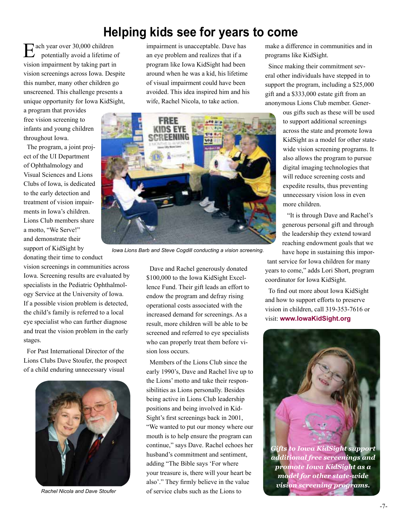## **Helping kids see for years to come**

ach year over 30,000 children potentially avoid a lifetime of vision impairment by taking part in vision screenings across Iowa. Despite this number, many other children go unscreened. This challenge presents a unique opportunity for Iowa KidSight, E

a program that provides free vision screening to infants and young children throughout Iowa.

The program, a joint project of the UI Department of Ophthalmology and Visual Sciences and Lions Clubs of Iowa, is dedicated to the early detection and treatment of vision impairments in Iowa's children. Lions Club members share a motto, "We Serve!" and demonstrate their support of KidSight by donating their time to conduct

vision screenings in communities across Iowa. Screening results are evaluated by specialists in the Pediatric Ophthalmology Service at the University of Iowa. If a possible vision problem is detected, the child's family is referred to a local eye specialist who can further diagnose and treat the vision problem in the early stages.

For Past International Director of the Lions Clubs Dave Stoufer, the prospect of a child enduring unnecessary visual



*Rachel Nicola and Dave Stoufer*

impairment is unacceptable. Dave has an eye problem and realizes that if a program like Iowa KidSight had been around when he was a kid, his lifetime of visual impairment could have been avoided. This idea inspired him and his wife, Rachel Nicola, to take action.



*Iowa Lions Barb and Steve Cogdill conducting a vision screening.*

Dave and Rachel generously donated \$100,000 to the Iowa KidSight Excellence Fund. Their gift leads an effort to endow the program and defray rising operational costs associated with the increased demand for screenings. As a result, more children will be able to be screened and referred to eye specialists who can properly treat them before vision loss occurs.

Members of the Lions Club since the early 1990's, Dave and Rachel live up to the Lions' motto and take their responsibilities as Lions personally. Besides being active in Lions Club leadership positions and being involved in Kid-Sight's first screenings back in 2001, "We wanted to put our money where our mouth is to help ensure the program can continue," says Dave. Rachel echoes her husband's commitment and sentiment, adding "The Bible says 'For where your treasure is, there will your heart be also'." They firmly believe in the value of service clubs such as the Lions to

make a difference in communities and in programs like KidSight.

Since making their commitment several other individuals have stepped in to support the program, including a \$25,000 gift and a \$333,000 estate gift from an anonymous Lions Club member. Gener-

> ous gifts such as these will be used to support additional screenings across the state and promote Iowa KidSight as a model for other statewide vision screening programs. It also allows the program to pursue digital imaging technologies that will reduce screening costs and expedite results, thus preventing unnecessary vision loss in even more children.

 "It is through Dave and Rachel's generous personal gift and through the leadership they extend toward reaching endowment goals that we have hope in sustaining this impor-

tant service for Iowa children for many years to come," adds Lori Short, program coordinator for Iowa KidSight.

To find out more about Iowa KidSight and how to support efforts to preserve vision in children, call 319-353-7616 or visit: **www.IowaKidSight.org**



*Gifts to Iowa KidSight support additional free screenings and promote Iowa KidSight as a model for other state-wide vision screening programs.*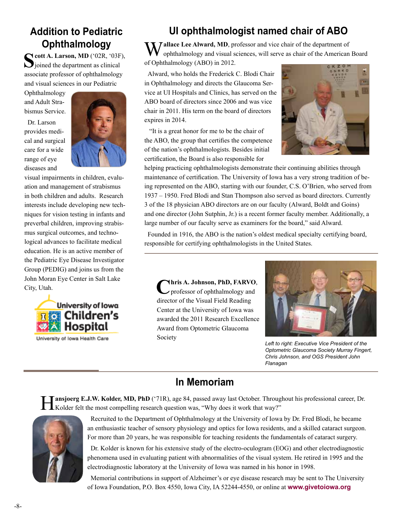### **Addition to Pediatric Ophthalmology**

**Scott A. Larson, MD** ('02R, '03F),  $\sum$  joined the department as clinical associate professor of ophthalmology and visual sciences in our Pediatric

Ophthalmology and Adult Strabismus Service.

Dr. Larson provides medical and surgical care for a wide range of eye diseases and



visual impairments in children, evaluation and management of strabismus in both children and adults. Research interests include developing new techniques for vision testing in infants and preverbal children, improving strabismus surgical outcomes, and technological advances to facilitate medical education. He is an active member of the Pediatric Eye Disease Investigator Group (PEDIG) and joins us from the John Moran Eye Center in Salt Lake City, Utah.



University of Iowa Health Care

## **UI ophthalmologist named chair of ABO**

**Y** Jallace Lee Alward, MD, professor and vice chair of the department of ophthalmology and visual sciences, will serve as chair of the American Board of Ophthalmology (ABO) in 2012.

Alward, who holds the Frederick C. Blodi Chair in Ophthalmology and directs the Glaucoma Service at UI Hospitals and Clinics, has served on the ABO board of directors since 2006 and was vice chair in 2011. His term on the board of directors expires in 2014.

 "It is a great honor for me to be the chair of the ABO, the group that certifies the competence of the nation's ophthalmologists. Besides initial certification, the Board is also responsible for



helping practicing ophthalmologists demonstrate their continuing abilities through maintenance of certification. The University of Iowa has a very strong tradition of being represented on the ABO, starting with our founder, C.S. O'Brien, who served from 1937 – 1950. Fred Blodi and Stan Thompson also served as board directors. Currently 3 of the 18 physician ABO directors are on our faculty (Alward, Boldt and Goins) and one director (John Sutphin, Jr.) is a recent former faculty member. Additionally, a large number of our faculty serve as examiners for the board," said Alward.

Founded in 1916, the ABO is the nation's oldest medical specialty certifying board, responsible for certifying ophthalmologists in the United States.

**Chris A. Johnson, PhD, FARVO**, professor of ophthalmology and director of the Visual Field Reading Center at the University of Iowa was awarded the 2011 Research Excellence Award from Optometric Glaucoma Society



*Left to right: Executive Vice President of the Optometric Glaucoma Society Murray Fingert, Chris Johnson, and OGS President John Flanagan*

### **In Memoriam**

**Tansjoerg E.J.W. Kolder, MD, PhD** ('71R), age 84, passed away last October. Throughout his professional career, Dr. Kolder felt the most compelling research question was, "Why does it work that way?"



Recruited to the Department of Ophthalmology at the University of Iowa by Dr. Fred Blodi, he became an enthusiastic teacher of sensory physiology and optics for Iowa residents, and a skilled cataract surgeon. For more than 20 years, he was responsible for teaching residents the fundamentals of cataract surgery.

Dr. Kolder is known for his extensive study of the electro-oculogram (EOG) and other electrodiagnostic phenomena used in evaluating patient with abnormalities of the visual system. He retired in 1995 and the electrodiagnostic laboratory at the University of Iowa was named in his honor in 1998.

Memorial contributions in support of Alzheimer's or eye disease research may be sent to The University of Iowa Foundation, P.O. Box 4550, Iowa City, IA 52244-4550, or online at **www.givetoiowa.org**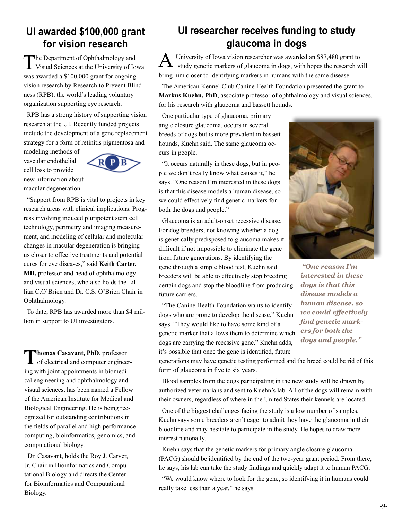### **UI awarded \$100,000 grant for vision research**

The Department of Ophthalmology and Visual Sciences at the University of Iowa was awarded a \$100,000 grant for ongoing vision research by Research to Prevent Blindness (RPB), the world's leading voluntary organization supporting eye research.

RPB has a strong history of supporting vision research at the UI. Recently funded projects include the development of a gene replacement strategy for a form of retinitis pigmentosa and

modeling methods of vascular endothelial cell loss to provide new information about macular degeneration.



"Support from RPB is vital to projects in key research areas with clinical implications. Progress involving induced pluripotent stem cell technology, perimetry and imaging measurement, and modeling of cellular and molecular changes in macular degeneration is bringing us closer to effective treatments and potential cures for eye diseases," said **Keith Carter, MD,** professor and head of ophthalmology and visual sciences, who also holds the Lillian C.O'Brien and Dr. C.S. O'Brien Chair in Ophthalmology.

To date, RPB has awarded more than \$4 million in support to UI investigators.

**Thomas Casavant, PhD**, professor of electrical and computer engineering with joint appointments in biomedical engineering and ophthalmology and visual sciences, has been named a Fellow of the American Institute for Medical and Biological Engineering. He is being recognized for outstanding contributions in the fields of parallel and high performance computing, bioinformatics, genomics, and computational biology.

Dr. Casavant, holds the Roy J. Carver, Jr. Chair in Bioinformatics and Computational Biology and directs the Center for Bioinformatics and Computational Biology.

### **UI researcher receives funding to study glaucoma in dogs**

University of Iowa vision researcher was awarded an \$87,480 grant to  $A$  University of Iowa vision researcher was awarded an \$87,480 grant to study genetic markers of glaucoma in dogs, with hopes the research will bring him closer to identifying markers in humans with the same disease.

The American Kennel Club Canine Health Foundation presented the grant to **Markus Kuehn, PhD**, associate professor of ophthalmology and visual sciences, for his research with glaucoma and bassett hounds.

One particular type of glaucoma, primary angle closure glaucoma, occurs in several breeds of dogs but is more prevalent in bassett hounds, Kuehn said. The same glaucoma occurs in people.

"It occurs naturally in these dogs, but in people we don't really know what causes it," he says. "One reason I'm interested in these dogs is that this disease models a human disease, so we could effectively find genetic markers for both the dogs and people."

Glaucoma is an adult-onset recessive disease. For dog breeders, not knowing whether a dog is genetically predisposed to glaucoma makes it difficult if not impossible to eliminate the gene from future generations. By identifying the gene through a simple blood test, Kuehn said breeders will be able to effectively stop breeding certain dogs and stop the bloodline from producing future carriers.



*"One reason I'm interested in these dogs is that this disease models a human disease, so we could effectively find genetic markers for both the dogs and people."*

"The Canine Health Foundation wants to identify dogs who are prone to develop the disease," Kuehn says. "They would like to have some kind of a genetic marker that allows them to determine which dogs are carrying the recessive gene." Kuehn adds, it's possible that once the gene is identified, future

generations may have genetic testing performed and the breed could be rid of this form of glaucoma in five to six years.

Blood samples from the dogs participating in the new study will be drawn by authorized veterinarians and sent to Kuehn's lab. All of the dogs will remain with their owners, regardless of where in the United States their kennels are located.

One of the biggest challenges facing the study is a low number of samples. Kuehn says some breeders aren't eager to admit they have the glaucoma in their bloodline and may hesitate to participate in the study. He hopes to draw more interest nationally.

Kuehn says that the genetic markers for primary angle closure glaucoma (PACG) should be identified by the end of the two-year grant period. From there, he says, his lab can take the study findings and quickly adapt it to human PACG.

"We would know where to look for the gene, so identifying it in humans could really take less than a year," he says.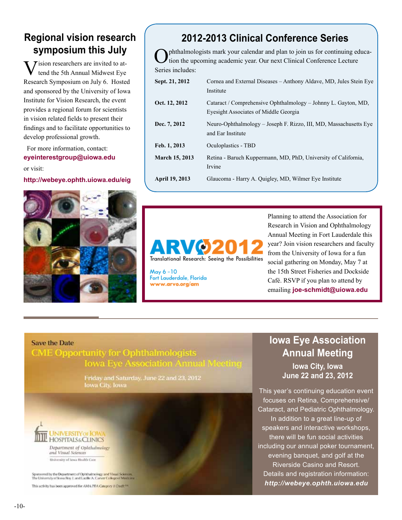### **Regional vision research symposium this July**

 $\overline{y}$  ision researchers are invited to attend the 5th Annual Midwest Eye Research Symposium on July 6. Hosted and sponsored by the University of Iowa Institute for Vision Research, the event provides a regional forum for scientists in vision related fields to present their findings and to facilitate opportunities to develop professional growth.

For more information, contact: **eyeinterestgroup@uiowa.edu** or visit:

**http://webeye.ophth.uiowa.edu/eig**

## **2012-2013 Clinical Conference Series**

Ophthalmologists mark your calendar and plan to join us for continuing educa-tion the upcoming academic year. Our next Clinical Conference Lecture Series includes:

| Sept. 21, 2012        | Cornea and External Diseases – Anthony Aldave, MD, Jules Stein Eye<br>Institute                         |
|-----------------------|---------------------------------------------------------------------------------------------------------|
| Oct. 12, 2012         | Cataract / Comprehensive Ophthalmology – Johnny L. Gayton, MD,<br>Eyesight Associates of Middle Georgia |
| <b>Dec. 7, 2012</b>   | Neuro-Ophthalmology – Joseph F. Rizzo, III, MD, Massachusetts Eye<br>and Ear Institute                  |
| Feb. 1, 2013          | <b>Oculoplastics - TBD</b>                                                                              |
| <b>March 15, 2013</b> | Retina - Baruch Kuppermann, MD, PhD, University of California,<br>Irvine                                |
| <b>April 19, 2013</b> | Glaucoma - Harry A. Quigley, MD, Wilmer Eye Institute                                                   |



May 6-10 Fort Lauderdale, Florida www.arvo.org/am

Planning to attend the Association for Research in Vision and Ophthalmology Annual Meeting in Fort Lauderdale this year? Join vision researchers and faculty from the University of Iowa for a fun social gathering on Monday, May 7 at the 15th Street Fisheries and Dockside Café. RSVP if you plan to attend by emailing **joe-schmidt@uiowa.edu**

#### **Save the Date**

### **CME Opportunity for Ophthalmologists Iowa Eye Association Annual Meeting**

Friday and Saturday, June 22 and 23, 2012 Iowa City, Iowa



Department of Ophthalmology<br>and Visual Sciences University of fews Health Care

Sponsored by the Department of Ophthalmology and Visual Sciences.<br>The University of Jowa Roy J. and Lacille A. Carver College of Medicine This activity has been approved for AMA PRA Category 1 Chieff In

## **Iowa Eye Association Annual Meeting**

**Iowa City, Iowa June 22 and 23, 2012**

This year's continuing education event focuses on Retina, Comprehensive/ Cataract, and Pediatric Ophthalmology. In addition to a great line-up of speakers and interactive workshops, there will be fun social activities including our annual poker tournament, evening banquet, and golf at the Riverside Casino and Resort. Details and registration information: *http://webeye.ophth.uiowa.edu*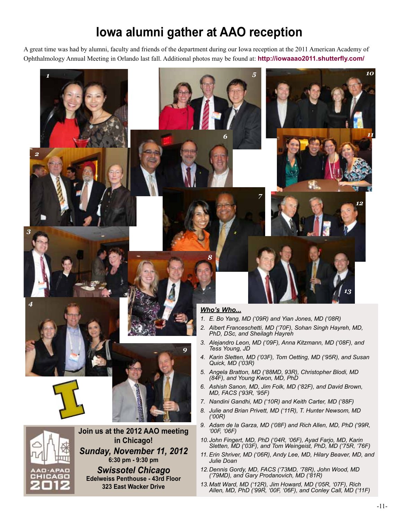## **Iowa alumni gather at AAO reception**

A great time was had by alumni, faculty and friends of the department during our Iowa reception at the 2011 American Academy of Ophthalmology Annual Meeting in Orlando last fall. Additional photos may be found at: **http://iowaaao2011.shutterfly.com/** 

*5*

*7*



*1*

*3*

*4*





**Join us at the 2012 AAO meeting in Chicago!** *Sunday, November 11, 2012* **6:30 pm - 9:30 pm** *Swissotel Chicago* **Edelweiss Penthouse - 43rd Floor 323 East Wacker Drive**

#### *Who's Who...*

*8*

*6*

- *1. E. Bo Yang, MD ('09R) and Yian Jones, MD ('08R)*
- *2. Albert Franceschetti, MD ('70F), Sohan Singh Hayreh, MD, PhD, DSc, and Sheilagh Hayreh*
- *3. Alejandro Leon, MD ('09F), Anna Kitzmann, MD ('08F), and Tess Young, JD*
- *4. Karin Sletten, MD ('03F), Tom Oetting, MD ('95R), and Susan Quick, MD ('03R)*
- *5. Angela Bratton, MD ('88MD, 93R), Christopher Blodi, MD (84F), and Young Kwon, MD, PhD*
- *6. Ashish Sanon, MD, Jim Folk, MD ('82F), and David Brown, MD, FACS ('93R, '95F)*
- *7. Nandini Gandhi, MD ('10R) and Keith Carter, MD ('88F)*
- *8. Julie and Brian Privett, MD ('11R), T. Hunter Newsom, MD ('00R)*
- *9. Adam de la Garza, MD ('08F) and Rich Allen, MD, PhD ('99R, '00F, '06F)*
- *10.John Fingert, MD, PhD ('04R, '06F), Ayad Farjo, MD, Karin Sletten, MD ('03F), and Tom Weingeist, PhD, MD ('75R, '76F)*
- *11. Erin Shriver, MD ('06R), Andy Lee, MD, Hilary Beaver, MD, and Julie Doan*
- *12.Dennis Gordy, MD, FACS ('73MD, '78R), John Wood, MD ('79MD), and Gary Prodanovich, MD ('81R)*
- *13.Matt Ward, MD ('12R), Jim Howard, MD ('05R, '07F), Rich Allen, MD, PhD ('99R, '00F, '06F), and Conley Call, MD ('11F)*

*12*

*13*

*10*

*11*